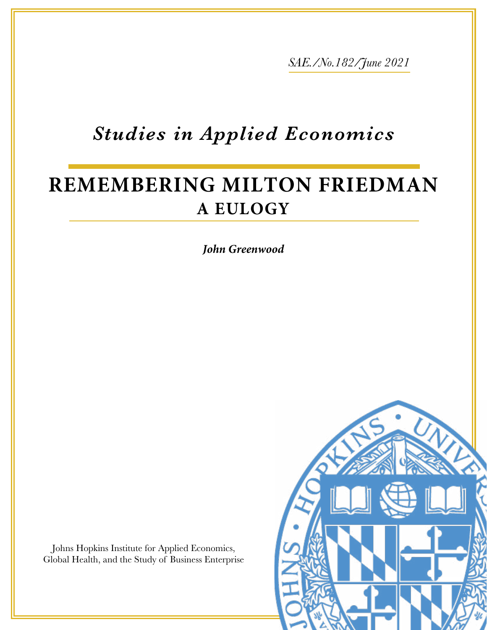*SAE./No.182/June 2021*

# *Studies in Applied Economics*

## **REMEMBERING MILTON FRIEDMAN A EULOGY**

*John Greenwood*

Johns Hopkins Institute for Applied Economics, Global Health, and the Study of Business Enterprise

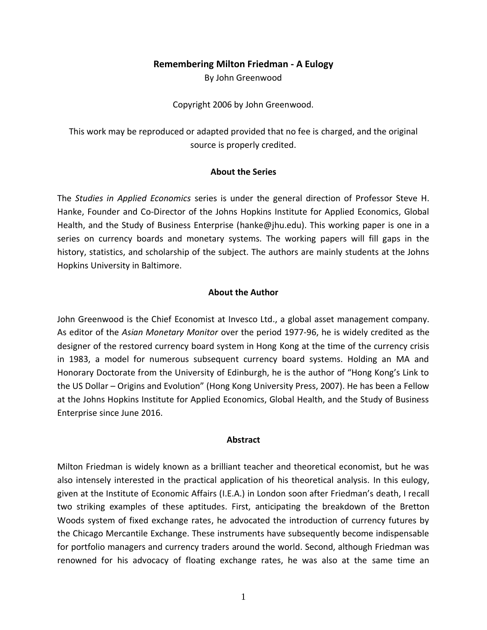## **Remembering Milton Friedman - A Eulogy**

By John Greenwood

Copyright 2006 by John Greenwood.

This work may be reproduced or adapted provided that no fee is charged, and the original source is properly credited.

## **About the Series**

The *Studies in Applied Economics* series is under the general direction of Professor Steve H. Hanke, Founder and Co-Director of the Johns Hopkins Institute for Applied Economics, Global Health, and the Study of Business Enterprise [\(hanke@jhu.edu\)](mailto:hanke@jhu.edu). This working paper is one in a series on currency boards and monetary systems. The working papers will fill gaps in the history, statistics, and scholarship of the subject. The authors are mainly students at the Johns Hopkins University in Baltimore.

## **About the Author**

John Greenwood is the Chief Economist at Invesco Ltd., a global asset management company. As editor of the *Asian Monetary Monitor* over the period 1977-96, he is widely credited as the designer of the restored currency board system in Hong Kong at the time of the currency crisis in 1983, a model for numerous subsequent currency board systems. Holding an MA and Honorary Doctorate from the University of Edinburgh, he is the author of "Hong Kong's Link to the US Dollar – Origins and Evolution" (Hong Kong University Press, 2007). He has been a Fellow at the Johns Hopkins Institute for Applied Economics, Global Health, and the Study of Business Enterprise since June 2016.

#### **Abstract**

Milton Friedman is widely known as a brilliant teacher and theoretical economist, but he was also intensely interested in the practical application of his theoretical analysis. In this eulogy, given at the Institute of Economic Affairs (I.E.A.) in London soon after Friedman's death, I recall two striking examples of these aptitudes. First, anticipating the breakdown of the Bretton Woods system of fixed exchange rates, he advocated the introduction of currency futures by the Chicago Mercantile Exchange. These instruments have subsequently become indispensable for portfolio managers and currency traders around the world. Second, although Friedman was renowned for his advocacy of floating exchange rates, he was also at the same time an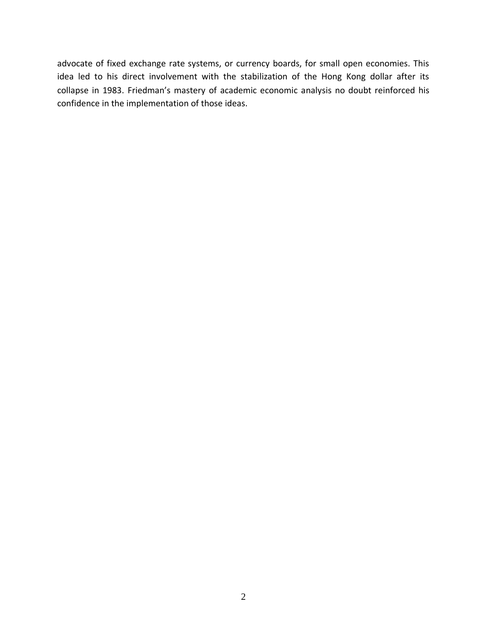advocate of fixed exchange rate systems, or currency boards, for small open economies. This idea led to his direct involvement with the stabilization of the Hong Kong dollar after its collapse in 1983. Friedman's mastery of academic economic analysis no doubt reinforced his confidence in the implementation of those ideas.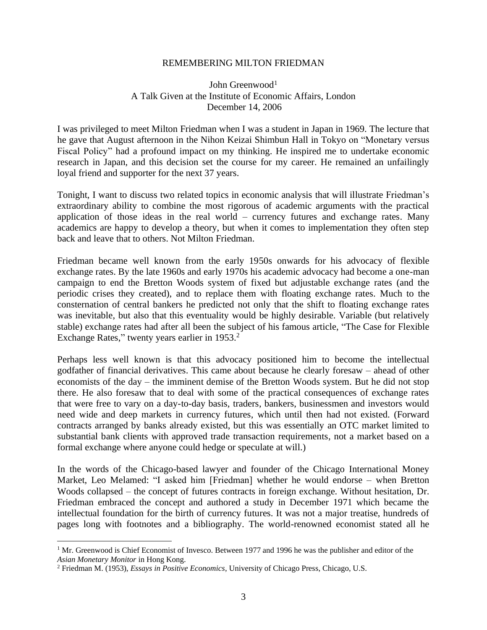#### REMEMBERING MILTON FRIEDMAN

## John Greenwood<sup>1</sup> A Talk Given at the Institute of Economic Affairs, London December 14, 2006

I was privileged to meet Milton Friedman when I was a student in Japan in 1969. The lecture that he gave that August afternoon in the Nihon Keizai Shimbun Hall in Tokyo on "Monetary versus Fiscal Policy" had a profound impact on my thinking. He inspired me to undertake economic research in Japan, and this decision set the course for my career. He remained an unfailingly loyal friend and supporter for the next 37 years.

Tonight, I want to discuss two related topics in economic analysis that will illustrate Friedman's extraordinary ability to combine the most rigorous of academic arguments with the practical application of those ideas in the real world – currency futures and exchange rates. Many academics are happy to develop a theory, but when it comes to implementation they often step back and leave that to others. Not Milton Friedman.

Friedman became well known from the early 1950s onwards for his advocacy of flexible exchange rates. By the late 1960s and early 1970s his academic advocacy had become a one-man campaign to end the Bretton Woods system of fixed but adjustable exchange rates (and the periodic crises they created), and to replace them with floating exchange rates. Much to the consternation of central bankers he predicted not only that the shift to floating exchange rates was inevitable, but also that this eventuality would be highly desirable. Variable (but relatively stable) exchange rates had after all been the subject of his famous article, "The Case for Flexible Exchange Rates," twenty years earlier in 1953.<sup>2</sup>

Perhaps less well known is that this advocacy positioned him to become the intellectual godfather of financial derivatives. This came about because he clearly foresaw – ahead of other economists of the day – the imminent demise of the Bretton Woods system. But he did not stop there. He also foresaw that to deal with some of the practical consequences of exchange rates that were free to vary on a day-to-day basis, traders, bankers, businessmen and investors would need wide and deep markets in currency futures, which until then had not existed. (Forward contracts arranged by banks already existed, but this was essentially an OTC market limited to substantial bank clients with approved trade transaction requirements, not a market based on a formal exchange where anyone could hedge or speculate at will.)

In the words of the Chicago-based lawyer and founder of the Chicago International Money Market, Leo Melamed: "I asked him [Friedman] whether he would endorse – when Bretton Woods collapsed – the concept of futures contracts in foreign exchange. Without hesitation, Dr. Friedman embraced the concept and authored a study in December 1971 which became the intellectual foundation for the birth of currency futures. It was not a major treatise, hundreds of pages long with footnotes and a bibliography. The world-renowned economist stated all he

<sup>&</sup>lt;sup>1</sup> Mr. Greenwood is Chief Economist of Invesco. Between 1977 and 1996 he was the publisher and editor of the *Asian Monetary Monitor* in Hong Kong.

<sup>2</sup> Friedman M. (1953), *Essays in Positive Economics*, University of Chicago Press, Chicago, U.S.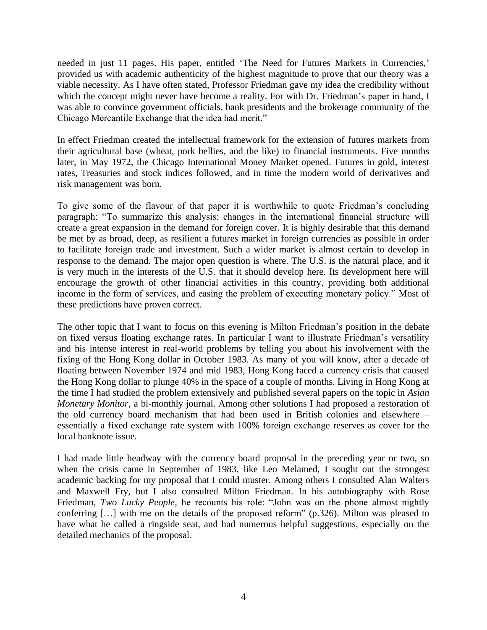needed in just 11 pages. His paper, entitled 'The Need for Futures Markets in Currencies,' provided us with academic authenticity of the highest magnitude to prove that our theory was a viable necessity. As I have often stated, Professor Friedman gave my idea the credibility without which the concept might never have become a reality. For with Dr. Friedman's paper in hand, I was able to convince government officials, bank presidents and the brokerage community of the Chicago Mercantile Exchange that the idea had merit."

In effect Friedman created the intellectual framework for the extension of futures markets from their agricultural base (wheat, pork bellies, and the like) to financial instruments. Five months later, in May 1972, the Chicago International Money Market opened. Futures in gold, interest rates, Treasuries and stock indices followed, and in time the modern world of derivatives and risk management was born.

To give some of the flavour of that paper it is worthwhile to quote Friedman's concluding paragraph: "To summarize this analysis: changes in the international financial structure will create a great expansion in the demand for foreign cover. It is highly desirable that this demand be met by as broad, deep, as resilient a futures market in foreign currencies as possible in order to facilitate foreign trade and investment. Such a wider market is almost certain to develop in response to the demand. The major open question is where. The U.S. is the natural place, and it is very much in the interests of the U.S. that it should develop here. Its development here will encourage the growth of other financial activities in this country, providing both additional income in the form of services, and easing the problem of executing monetary policy." Most of these predictions have proven correct.

The other topic that I want to focus on this evening is Milton Friedman's position in the debate on fixed versus floating exchange rates. In particular I want to illustrate Friedman's versatility and his intense interest in real-world problems by telling you about his involvement with the fixing of the Hong Kong dollar in October 1983. As many of you will know, after a decade of floating between November 1974 and mid 1983, Hong Kong faced a currency crisis that caused the Hong Kong dollar to plunge 40% in the space of a couple of months. Living in Hong Kong at the time I had studied the problem extensively and published several papers on the topic in *Asian Monetary Monitor*, a bi-monthly journal. Among other solutions I had proposed a restoration of the old currency board mechanism that had been used in British colonies and elsewhere – essentially a fixed exchange rate system with 100% foreign exchange reserves as cover for the local banknote issue.

I had made little headway with the currency board proposal in the preceding year or two, so when the crisis came in September of 1983, like Leo Melamed, I sought out the strongest academic backing for my proposal that I could muster. Among others I consulted Alan Walters and Maxwell Fry, but I also consulted Milton Friedman. In his autobiography with Rose Friedman, *Two Lucky People,* he recounts his role: "John was on the phone almost nightly conferring […] with me on the details of the proposed reform" (p.326). Milton was pleased to have what he called a ringside seat, and had numerous helpful suggestions, especially on the detailed mechanics of the proposal.